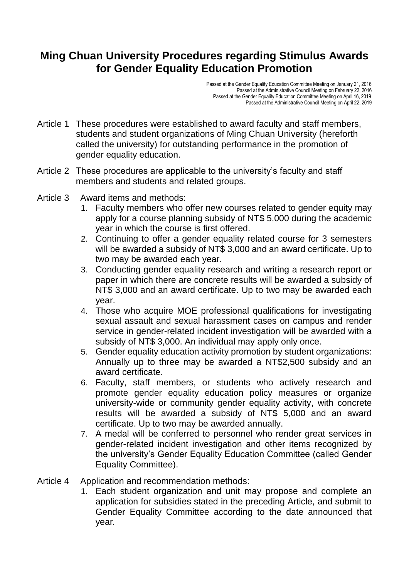## **Ming Chuan University Procedures regarding Stimulus Awards for Gender Equality Education Promotion**

Passed at the Gender Equality Education Committee Meeting on January 21, 2016 Passed at the Administrative Council Meeting on February 22, 2016 Passed at the Gender Equality Education Committee Meeting on April 16, 2019 Passed at the Administrative Council Meeting on April 22, 2019

- Article 1 These procedures were established to award faculty and staff members, students and student organizations of Ming Chuan University (hereforth called the university) for outstanding performance in the promotion of gender equality education.
- Article 2 These procedures are applicable to the university's faculty and staff members and students and related groups.
- Article 3 Award items and methods:
	- 1. Faculty members who offer new courses related to gender equity may apply for a course planning subsidy of NT\$ 5,000 during the academic year in which the course is first offered.
	- 2. Continuing to offer a gender equality related course for 3 semesters will be awarded a subsidy of NT\$ 3,000 and an award certificate. Up to two may be awarded each year.
	- 3. Conducting gender equality research and writing a research report or paper in which there are concrete results will be awarded a subsidy of NT\$ 3,000 and an award certificate. Up to two may be awarded each year.
	- 4. Those who acquire MOE professional qualifications for investigating sexual assault and sexual harassment cases on campus and render service in gender-related incident investigation will be awarded with a subsidy of NT\$ 3,000. An individual may apply only once.
	- 5. Gender equality education activity promotion by student organizations: Annually up to three may be awarded a NT\$2,500 subsidy and an award certificate.
	- 6. Faculty, staff members, or students who actively research and promote gender equality education policy measures or organize university-wide or community gender equality activity, with concrete results will be awarded a subsidy of NT\$ 5,000 and an award certificate. Up to two may be awarded annually.
	- 7. A medal will be conferred to personnel who render great services in gender-related incident investigation and other items recognized by the university's Gender Equality Education Committee (called Gender Equality Committee).
- Article 4 Application and recommendation methods:
	- 1. Each student organization and unit may propose and complete an application for subsidies stated in the preceding Article, and submit to Gender Equality Committee according to the date announced that year.